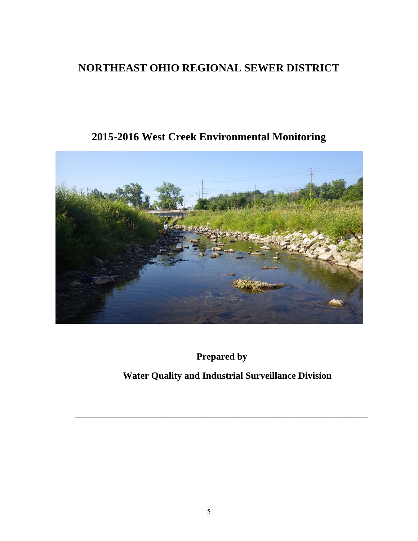# **NORTHEAST OHIO REGIONAL SEWER DISTRICT**

 $\mathcal{L}_\mathcal{L} = \{ \mathcal{L}_\mathcal{L} = \{ \mathcal{L}_\mathcal{L} = \{ \mathcal{L}_\mathcal{L} = \{ \mathcal{L}_\mathcal{L} = \{ \mathcal{L}_\mathcal{L} = \{ \mathcal{L}_\mathcal{L} = \{ \mathcal{L}_\mathcal{L} = \{ \mathcal{L}_\mathcal{L} = \{ \mathcal{L}_\mathcal{L} = \{ \mathcal{L}_\mathcal{L} = \{ \mathcal{L}_\mathcal{L} = \{ \mathcal{L}_\mathcal{L} = \{ \mathcal{L}_\mathcal{L} = \{ \mathcal{L}_\mathcal{$ 

# **2015-2016 West Creek Environmental Monitoring**



**Prepared by** 

## **Water Quality and Industrial Surveillance Division**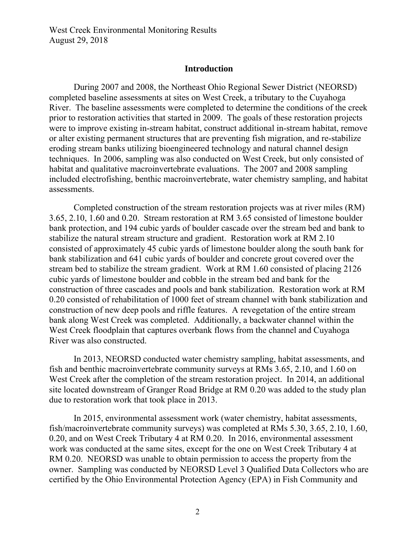#### **Introduction**

During 2007 and 2008, the Northeast Ohio Regional Sewer District (NEORSD) completed baseline assessments at sites on West Creek, a tributary to the Cuyahoga River. The baseline assessments were completed to determine the conditions of the creek prior to restoration activities that started in 2009. The goals of these restoration projects were to improve existing in-stream habitat, construct additional in-stream habitat, remove or alter existing permanent structures that are preventing fish migration, and re-stabilize eroding stream banks utilizing bioengineered technology and natural channel design techniques. In 2006, sampling was also conducted on West Creek, but only consisted of habitat and qualitative macroinvertebrate evaluations. The 2007 and 2008 sampling included electrofishing, benthic macroinvertebrate, water chemistry sampling, and habitat assessments.

Completed construction of the stream restoration projects was at river miles (RM) 3.65, 2.10, 1.60 and 0.20. Stream restoration at RM 3.65 consisted of limestone boulder bank protection, and 194 cubic yards of boulder cascade over the stream bed and bank to stabilize the natural stream structure and gradient. Restoration work at RM 2.10 consisted of approximately 45 cubic yards of limestone boulder along the south bank for bank stabilization and 641 cubic yards of boulder and concrete grout covered over the stream bed to stabilize the stream gradient. Work at RM 1.60 consisted of placing 2126 cubic yards of limestone boulder and cobble in the stream bed and bank for the construction of three cascades and pools and bank stabilization. Restoration work at RM 0.20 consisted of rehabilitation of 1000 feet of stream channel with bank stabilization and construction of new deep pools and riffle features. A revegetation of the entire stream bank along West Creek was completed. Additionally, a backwater channel within the West Creek floodplain that captures overbank flows from the channel and Cuyahoga River was also constructed.

In 2013, NEORSD conducted water chemistry sampling, habitat assessments, and fish and benthic macroinvertebrate community surveys at RMs 3.65, 2.10, and 1.60 on West Creek after the completion of the stream restoration project. In 2014, an additional site located downstream of Granger Road Bridge at RM 0.20 was added to the study plan due to restoration work that took place in 2013.

In 2015, environmental assessment work (water chemistry, habitat assessments, fish/macroinvertebrate community surveys) was completed at RMs 5.30, 3.65, 2.10, 1.60, 0.20, and on West Creek Tributary 4 at RM 0.20. In 2016, environmental assessment work was conducted at the same sites, except for the one on West Creek Tributary 4 at RM 0.20. NEORSD was unable to obtain permission to access the property from the owner. Sampling was conducted by NEORSD Level 3 Qualified Data Collectors who are certified by the Ohio Environmental Protection Agency (EPA) in Fish Community and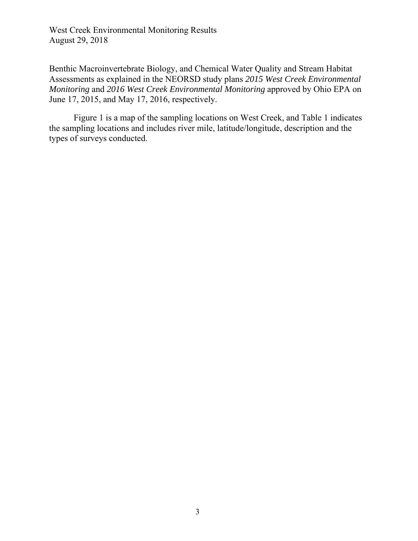Benthic Macroinvertebrate Biology, and Chemical Water Quality and Stream Habitat Assessments as explained in the NEORSD study plans *2015 West Creek Environmental Monitoring* and *2016 West Creek Environmental Monitoring* approved by Ohio EPA on June 17, 2015, and May 17, 2016, respectively.

Figure 1 is a map of the sampling locations on West Creek, and Table 1 indicates the sampling locations and includes river mile, latitude/longitude, description and the types of surveys conducted.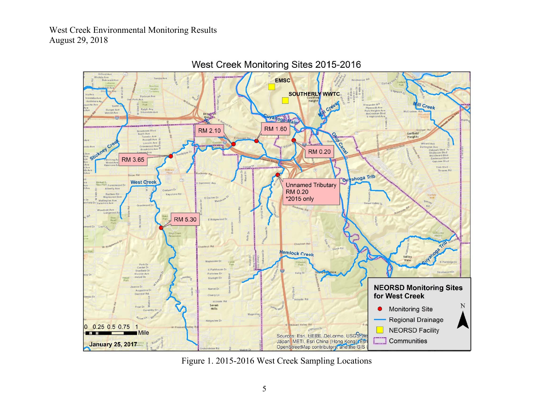

West Creek Monitoring Sites 2015-2016

Figure 1. 2015-2016 West Creek Sampling Locations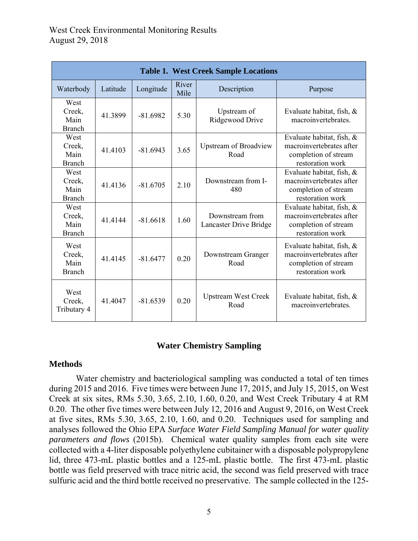| <b>Table 1. West Creek Sample Locations</b> |          |            |               |                                           |                                                                                                   |  |
|---------------------------------------------|----------|------------|---------------|-------------------------------------------|---------------------------------------------------------------------------------------------------|--|
| Waterbody                                   | Latitude | Longitude  | River<br>Mile | Description                               | Purpose                                                                                           |  |
| West<br>Creek,<br>Main<br><b>Branch</b>     | 41.3899  | $-81.6982$ | 5.30          | Upstream of<br>Ridgewood Drive            | Evaluate habitat, fish, &<br>macroinvertebrates.                                                  |  |
| West<br>Creek,<br>Main<br><b>Branch</b>     | 41.4103  | $-81.6943$ | 3.65          | <b>Upstream of Broadview</b><br>Road      | Evaluate habitat, fish, &<br>macroinvertebrates after<br>completion of stream<br>restoration work |  |
| West<br>Creek,<br>Main<br><b>Branch</b>     | 41.4136  | $-81.6705$ | 2.10          | Downstream from I-<br>480                 | Evaluate habitat, fish, &<br>macroinvertebrates after<br>completion of stream<br>restoration work |  |
| West<br>Creek,<br>Main<br><b>Branch</b>     | 41.4144  | $-81.6618$ | 1.60          | Downstream from<br>Lancaster Drive Bridge | Evaluate habitat, fish, &<br>macroinvertebrates after<br>completion of stream<br>restoration work |  |
| West<br>Creek,<br>Main<br><b>Branch</b>     | 41.4145  | $-81.6477$ | 0.20          | Downstream Granger<br>Road                | Evaluate habitat, fish, &<br>macroinvertebrates after<br>completion of stream<br>restoration work |  |
| West<br>Creek,<br>Tributary 4               | 41.4047  | $-81.6539$ | 0.20          | <b>Upstream West Creek</b><br>Road        | Evaluate habitat, fish, $\&$<br>macroinvertebrates.                                               |  |

#### **Water Chemistry Sampling**

#### **Methods**

 Water chemistry and bacteriological sampling was conducted a total of ten times during 2015 and 2016. Five times were between June 17, 2015, and July 15, 2015, on West Creek at six sites, RMs 5.30, 3.65, 2.10, 1.60, 0.20, and West Creek Tributary 4 at RM 0.20. The other five times were between July 12, 2016 and August 9, 2016, on West Creek at five sites, RMs 5.30, 3.65, 2.10, 1.60, and 0.20. Techniques used for sampling and analyses followed the Ohio EPA *Surface Water Field Sampling Manual for water quality parameters and flows* (2015b). Chemical water quality samples from each site were collected with a 4-liter disposable polyethylene cubitainer with a disposable polypropylene lid, three 473-mL plastic bottles and a 125-mL plastic bottle. The first 473-mL plastic bottle was field preserved with trace nitric acid, the second was field preserved with trace sulfuric acid and the third bottle received no preservative. The sample collected in the 125-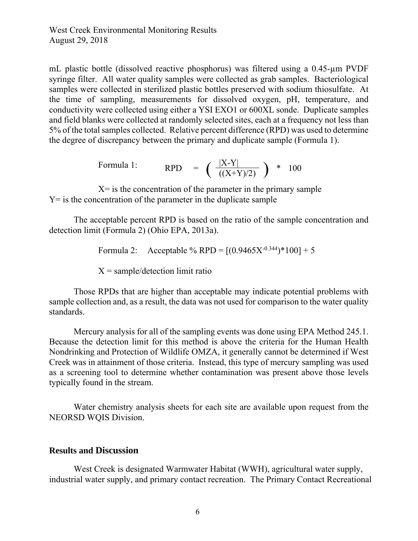mL plastic bottle (dissolved reactive phosphorus) was filtered using a 0.45-µm PVDF syringe filter. All water quality samples were collected as grab samples.Bacteriological samples were collected in sterilized plastic bottles preserved with sodium thiosulfate. At the time of sampling, measurements for dissolved oxygen, pH, temperature, and conductivity were collected using either a YSI EXO1 or 600XL sonde. Duplicate samples and field blanks were collected at randomly selected sites, each at a frequency not less than 5% of the total samples collected. Relative percent difference (RPD) was used to determine the degree of discrepancy between the primary and duplicate sample (Formula 1).

Formula 1: 
$$
RPD = (\frac{|X-Y|}{((X+Y)/2)}) * 100
$$

 $X =$  is the concentration of the parameter in the primary sample  $Y =$  is the concentration of the parameter in the duplicate sample

The acceptable percent RPD is based on the ratio of the sample concentration and detection limit (Formula 2) (Ohio EPA, 2013a).

Formula 2: Acceptable % RPD =  $[(0.9465X^{0.344})*100]+5$ 

 $X = sample/detection$  limit ratio

Those RPDs that are higher than acceptable may indicate potential problems with sample collection and, as a result, the data was not used for comparison to the water quality standards.

Mercury analysis for all of the sampling events was done using EPA Method 245.1. Because the detection limit for this method is above the criteria for the Human Health Nondrinking and Protection of Wildlife OMZA, it generally cannot be determined if West Creek was in attainment of those criteria. Instead, this type of mercury sampling was used as a screening tool to determine whether contamination was present above those levels typically found in the stream.

Water chemistry analysis sheets for each site are available upon request from the NEORSD WQIS Division.

#### **Results and Discussion**

 West Creek is designated Warmwater Habitat (WWH), agricultural water supply, industrial water supply, and primary contact recreation. The Primary Contact Recreational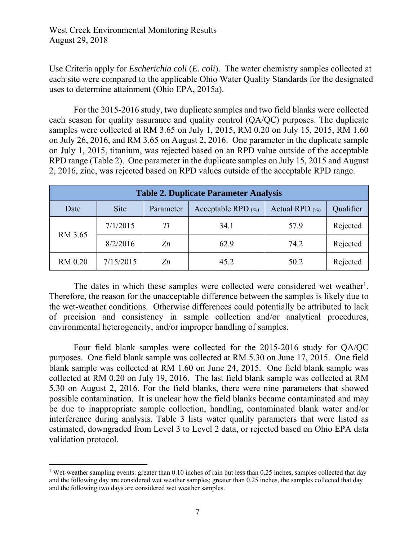Use Criteria apply for *Escherichia coli* (*E. coli*). The water chemistry samples collected at each site were compared to the applicable Ohio Water Quality Standards for the designated uses to determine attainment (Ohio EPA, 2015a).

For the 2015-2016 study, two duplicate samples and two field blanks were collected each season for quality assurance and quality control (QA/QC) purposes. The duplicate samples were collected at RM 3.65 on July 1, 2015, RM 0.20 on July 15, 2015, RM 1.60 on July 26, 2016, and RM 3.65 on August 2, 2016. One parameter in the duplicate sample on July 1, 2015, titanium, was rejected based on an RPD value outside of the acceptable RPD range (Table 2). One parameter in the duplicate samples on July 15, 2015 and August 2, 2016, zinc, was rejected based on RPD values outside of the acceptable RPD range.

| <b>Table 2. Duplicate Parameter Analysis</b> |             |           |                       |                   |           |  |  |
|----------------------------------------------|-------------|-----------|-----------------------|-------------------|-----------|--|--|
| Date                                         | <b>Site</b> | Parameter | Acceptable RPD $(\%)$ | Actual RPD $(\%)$ | Qualifier |  |  |
| RM 3.65                                      | 7/1/2015    | Ti        | 34.1                  | 57.9              | Rejected  |  |  |
|                                              | 8/2/2016    | Zn        | 62.9                  | 74.2              | Rejected  |  |  |
| RM 0.20                                      | 7/15/2015   | Zn        | 45.2                  | 50.2              | Rejected  |  |  |

The dates in which these samples were collected were considered wet weather<sup>1</sup>. Therefore, the reason for the unacceptable difference between the samples is likely due to the wet-weather conditions. Otherwise differences could potentially be attributed to lack of precision and consistency in sample collection and/or analytical procedures, environmental heterogeneity, and/or improper handling of samples.

 Four field blank samples were collected for the 2015-2016 study for QA/QC purposes. One field blank sample was collected at RM 5.30 on June 17, 2015. One field blank sample was collected at RM 1.60 on June 24, 2015. One field blank sample was collected at RM 0.20 on July 19, 2016. The last field blank sample was collected at RM 5.30 on August 2, 2016. For the field blanks, there were nine parameters that showed possible contamination. It is unclear how the field blanks became contaminated and may be due to inappropriate sample collection, handling, contaminated blank water and/or interference during analysis. Table 3 lists water quality parameters that were listed as estimated, downgraded from Level 3 to Level 2 data, or rejected based on Ohio EPA data validation protocol.

 $\overline{a}$ 

<sup>&</sup>lt;sup>1</sup> Wet-weather sampling events: greater than 0.10 inches of rain but less than 0.25 inches, samples collected that day and the following day are considered wet weather samples; greater than 0.25 inches, the samples collected that day and the following two days are considered wet weather samples.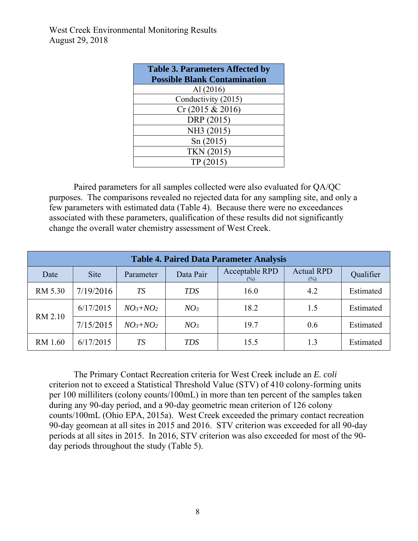| <b>Table 3. Parameters Affected by</b> |
|----------------------------------------|
| <b>Possible Blank Contamination</b>    |
| Al $(2016)$                            |
| Conductivity (2015)                    |
| Cr (2015 & 2016)                       |
| DRP (2015)                             |
| NH3 (2015)                             |
| Sn(2015)                               |
| TKN (2015)                             |
| TP (2015)                              |

Paired parameters for all samples collected were also evaluated for QA/QC purposes. The comparisons revealed no rejected data for any sampling site, and only a few parameters with estimated data (Table 4). Because there were no exceedances associated with these parameters, qualification of these results did not significantly change the overall water chemistry assessment of West Creek.

| <b>Table 4. Paired Data Parameter Analysis</b> |             |               |                 |                           |                          |           |  |
|------------------------------------------------|-------------|---------------|-----------------|---------------------------|--------------------------|-----------|--|
| Date                                           | <b>Site</b> | Parameter     | Data Pair       | Acceptable RPD<br>$(\% )$ | <b>Actual RPD</b><br>(%) | Qualifier |  |
| RM 5.30                                        | 7/19/2016   | <b>TS</b>     | <b>TDS</b>      | 16.0                      | 4.2                      | Estimated |  |
|                                                | 6/17/2015   | $NO_3 + NO_2$ | NO <sub>3</sub> | 18.2                      | 1.5                      | Estimated |  |
| RM 2.10                                        | 7/15/2015   | $NO_3 + NO_2$ | NO <sub>3</sub> | 19.7                      | 0.6                      | Estimated |  |
| RM 1.60                                        | 6/17/2015   | <b>TS</b>     | <b>TDS</b>      | 15.5                      | 1.3                      | Estimated |  |

 The Primary Contact Recreation criteria for West Creek include an *E. coli* criterion not to exceed a Statistical Threshold Value (STV) of 410 colony-forming units per 100 milliliters (colony counts/100mL) in more than ten percent of the samples taken during any 90-day period, and a 90-day geometric mean criterion of 126 colony counts/100mL (Ohio EPA, 2015a). West Creek exceeded the primary contact recreation 90-day geomean at all sites in 2015 and 2016. STV criterion was exceeded for all 90-day periods at all sites in 2015. In 2016, STV criterion was also exceeded for most of the 90 day periods throughout the study (Table 5).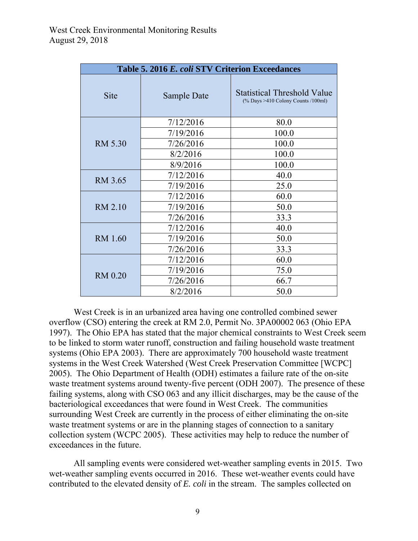|                | Table 5. 2016 E. coli STV Criterion Exceedances |                                                                                      |  |
|----------------|-------------------------------------------------|--------------------------------------------------------------------------------------|--|
| <b>Site</b>    | Sample Date                                     | <b>Statistical Threshold Value</b><br>$\frac{10}{6}$ Days >410 Colony Counts /100ml) |  |
|                | 7/12/2016                                       | 80.0                                                                                 |  |
|                | 7/19/2016                                       | 100.0                                                                                |  |
| RM 5.30        | 7/26/2016                                       | 100.0                                                                                |  |
|                | 8/2/2016                                        | 100.0                                                                                |  |
|                | 8/9/2016                                        | 100.0                                                                                |  |
| RM 3.65        | 7/12/2016                                       | 40.0                                                                                 |  |
|                | 7/19/2016                                       | 25.0                                                                                 |  |
|                | 7/12/2016                                       | 60.0                                                                                 |  |
| RM 2.10        | 7/19/2016                                       | 50.0                                                                                 |  |
|                | 7/26/2016                                       | 33.3                                                                                 |  |
|                | 7/12/2016                                       | 40.0                                                                                 |  |
| RM 1.60        | 7/19/2016                                       | 50.0                                                                                 |  |
|                | 7/26/2016                                       | 33.3                                                                                 |  |
|                | 7/12/2016                                       | 60.0                                                                                 |  |
|                | 7/19/2016                                       | 75.0                                                                                 |  |
| <b>RM 0.20</b> | 7/26/2016                                       | 66.7                                                                                 |  |
|                | 8/2/2016                                        | 50.0                                                                                 |  |

 West Creek is in an urbanized area having one controlled combined sewer overflow (CSO) entering the creek at RM 2.0, Permit No. 3PA00002 063 (Ohio EPA 1997). The Ohio EPA has stated that the major chemical constraints to West Creek seem to be linked to storm water runoff, construction and failing household waste treatment systems (Ohio EPA 2003). There are approximately 700 household waste treatment systems in the West Creek Watershed (West Creek Preservation Committee [WCPC] 2005). The Ohio Department of Health (ODH) estimates a failure rate of the on-site waste treatment systems around twenty-five percent (ODH 2007). The presence of these failing systems, along with CSO 063 and any illicit discharges, may be the cause of the bacteriological exceedances that were found in West Creek. The communities surrounding West Creek are currently in the process of either eliminating the on-site waste treatment systems or are in the planning stages of connection to a sanitary collection system (WCPC 2005). These activities may help to reduce the number of exceedances in the future.

 All sampling events were considered wet-weather sampling events in 2015. Two wet-weather sampling events occurred in 2016. These wet-weather events could have contributed to the elevated density of *E. coli* in the stream. The samples collected on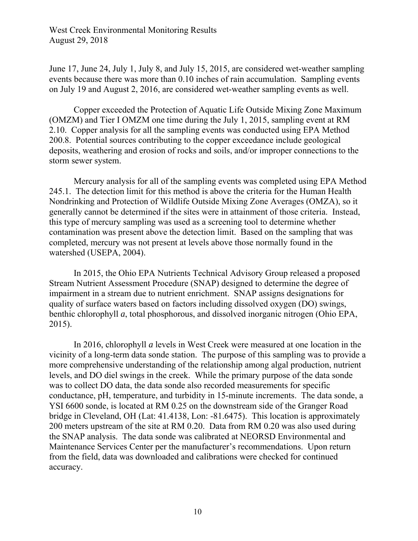June 17, June 24, July 1, July 8, and July 15, 2015, are considered wet-weather sampling events because there was more than 0.10 inches of rain accumulation. Sampling events on July 19 and August 2, 2016, are considered wet-weather sampling events as well.

 Copper exceeded the Protection of Aquatic Life Outside Mixing Zone Maximum (OMZM) and Tier I OMZM one time during the July 1, 2015, sampling event at RM 2.10. Copper analysis for all the sampling events was conducted using EPA Method 200.8. Potential sources contributing to the copper exceedance include geological deposits, weathering and erosion of rocks and soils, and/or improper connections to the storm sewer system.

Mercury analysis for all of the sampling events was completed using EPA Method 245.1. The detection limit for this method is above the criteria for the Human Health Nondrinking and Protection of Wildlife Outside Mixing Zone Averages (OMZA), so it generally cannot be determined if the sites were in attainment of those criteria. Instead, this type of mercury sampling was used as a screening tool to determine whether contamination was present above the detection limit. Based on the sampling that was completed, mercury was not present at levels above those normally found in the watershed (USEPA, 2004).

In 2015, the Ohio EPA Nutrients Technical Advisory Group released a proposed Stream Nutrient Assessment Procedure (SNAP) designed to determine the degree of impairment in a stream due to nutrient enrichment. SNAP assigns designations for quality of surface waters based on factors including dissolved oxygen (DO) swings, benthic chlorophyll *a*, total phosphorous, and dissolved inorganic nitrogen (Ohio EPA, 2015).

In 2016, chlorophyll *a* levels in West Creek were measured at one location in the vicinity of a long-term data sonde station. The purpose of this sampling was to provide a more comprehensive understanding of the relationship among algal production, nutrient levels, and DO diel swings in the creek. While the primary purpose of the data sonde was to collect DO data, the data sonde also recorded measurements for specific conductance, pH, temperature, and turbidity in 15-minute increments. The data sonde, a YSI 6600 sonde, is located at RM 0.25 on the downstream side of the Granger Road bridge in Cleveland, OH (Lat: 41.4138, Lon: -81.6475). This location is approximately 200 meters upstream of the site at RM 0.20. Data from RM 0.20 was also used during the SNAP analysis. The data sonde was calibrated at NEORSD Environmental and Maintenance Services Center per the manufacturer's recommendations. Upon return from the field, data was downloaded and calibrations were checked for continued accuracy.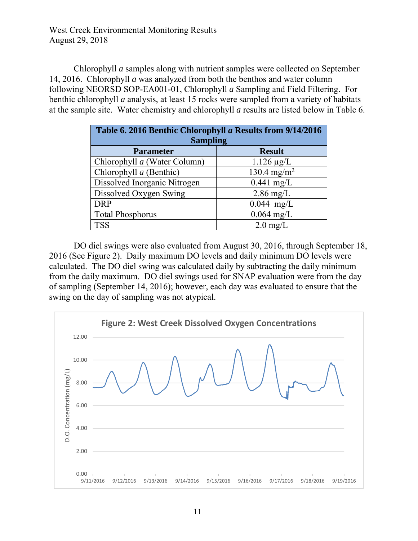Chlorophyll *a* samples along with nutrient samples were collected on September 14, 2016. Chlorophyll *a* was analyzed from both the benthos and water column following NEORSD SOP-EA001-01, Chlorophyll *a* Sampling and Field Filtering. For benthic chlorophyll *a* analysis, at least 15 rocks were sampled from a variety of habitats at the sample site. Water chemistry and chlorophyll *a* results are listed below in Table 6.

| Table 6. 2016 Benthic Chlorophyll a Results from 9/14/2016<br><b>Sampling</b> |                         |  |  |  |  |
|-------------------------------------------------------------------------------|-------------------------|--|--|--|--|
| <b>Parameter</b>                                                              | <b>Result</b>           |  |  |  |  |
| Chlorophyll a (Water Column)                                                  | $1.126 \mu g/L$         |  |  |  |  |
| Chlorophyll $a$ (Benthic)                                                     | 130.4 mg/m <sup>2</sup> |  |  |  |  |
| Dissolved Inorganic Nitrogen                                                  | $0.441$ mg/L            |  |  |  |  |
| Dissolved Oxygen Swing                                                        | $2.86$ mg/L             |  |  |  |  |
| <b>DRP</b>                                                                    | $0.044$ mg/L            |  |  |  |  |
| <b>Total Phosphorus</b>                                                       | $0.064$ mg/L            |  |  |  |  |
| <b>TSS</b>                                                                    | $2.0 \text{ mg/L}$      |  |  |  |  |

 DO diel swings were also evaluated from August 30, 2016, through September 18, 2016 (See Figure 2). Daily maximum DO levels and daily minimum DO levels were calculated. The DO diel swing was calculated daily by subtracting the daily minimum from the daily maximum. DO diel swings used for SNAP evaluation were from the day of sampling (September 14, 2016); however, each day was evaluated to ensure that the swing on the day of sampling was not atypical.

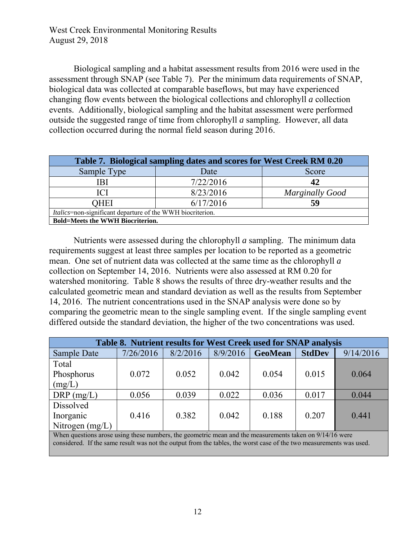Biological sampling and a habitat assessment results from 2016 were used in the assessment through SNAP (see Table 7). Per the minimum data requirements of SNAP, biological data was collected at comparable baseflows, but may have experienced changing flow events between the biological collections and chlorophyll *a* collection events. Additionally, biological sampling and the habitat assessment were performed outside the suggested range of time from chlorophyll *a* sampling. However, all data collection occurred during the normal field season during 2016.

| Table 7. Biological sampling dates and scores for West Creek RM 0.20 |           |                        |  |  |  |  |
|----------------------------------------------------------------------|-----------|------------------------|--|--|--|--|
| Sample Type                                                          | Date      | Score                  |  |  |  |  |
| ΒI                                                                   | 7/22/2016 | 42                     |  |  |  |  |
| ICI                                                                  | 8/23/2016 | <b>Marginally Good</b> |  |  |  |  |
| OHEI                                                                 | 59        |                        |  |  |  |  |
| <i>Italics</i> =non-significant departure of the WWH biocriterion.   |           |                        |  |  |  |  |
| <b>Bold=Meets the WWH Biocriterion.</b>                              |           |                        |  |  |  |  |

 Nutrients were assessed during the chlorophyll *a* sampling. The minimum data requirements suggest at least three samples per location to be reported as a geometric mean. One set of nutrient data was collected at the same time as the chlorophyll *a* collection on September 14, 2016. Nutrients were also assessed at RM 0.20 for watershed monitoring. Table 8 shows the results of three dry-weather results and the calculated geometric mean and standard deviation as well as the results from September 14, 2016. The nutrient concentrations used in the SNAP analysis were done so by comparing the geometric mean to the single sampling event. If the single sampling event differed outside the standard deviation, the higher of the two concentrations was used.

| Table 8. Nutrient results for West Creek used for SNAP analysis                                         |           |          |          |                |               |           |
|---------------------------------------------------------------------------------------------------------|-----------|----------|----------|----------------|---------------|-----------|
| Sample Date                                                                                             | 7/26/2016 | 8/2/2016 | 8/9/2016 | <b>GeoMean</b> | <b>StdDev</b> | 9/14/2016 |
| Total                                                                                                   |           |          |          |                |               |           |
| Phosphorus                                                                                              | 0.072     | 0.052    | 0.042    | 0.054          | 0.015         | 0.064     |
| (mg/L)                                                                                                  |           |          |          |                |               |           |
| $DRP$ (mg/L)                                                                                            | 0.056     | 0.039    | 0.022    | 0.036          | 0.017         | 0.044     |
| Dissolved                                                                                               |           |          |          |                |               |           |
| Inorganic                                                                                               | 0.416     | 0.382    | 0.042    | 0.188          | 0.207         | 0.441     |
| Nitrogen $(mg/L)$                                                                                       |           |          |          |                |               |           |
| When questions arose using these numbers, the geometric mean and the measurements taken on 9/14/16 were |           |          |          |                |               |           |

considered. If the same result was not the output from the tables, the worst case of the two measurements was used.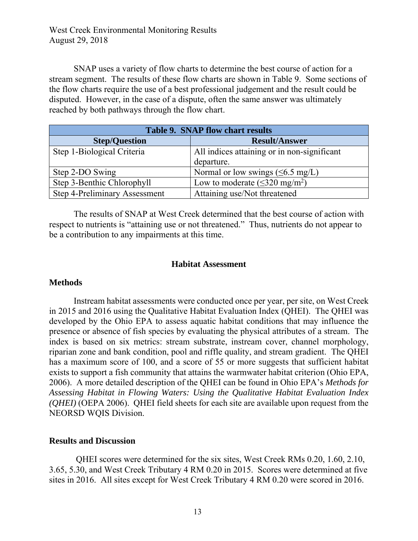SNAP uses a variety of flow charts to determine the best course of action for a stream segment. The results of these flow charts are shown in Table 9. Some sections of the flow charts require the use of a best professional judgement and the result could be disputed. However, in the case of a dispute, often the same answer was ultimately reached by both pathways through the flow chart.

| <b>Table 9. SNAP flow chart results</b> |                                                |  |  |  |
|-----------------------------------------|------------------------------------------------|--|--|--|
| <b>Step/Question</b>                    | <b>Result/Answer</b>                           |  |  |  |
| Step 1-Biological Criteria              | All indices attaining or in non-significant    |  |  |  |
|                                         | departure.                                     |  |  |  |
| Step 2-DO Swing                         | Normal or low swings $(\leq 6.5 \text{ mg/L})$ |  |  |  |
| Step 3-Benthic Chlorophyll              | Low to moderate $(\leq 320 \text{ mg/m}^2)$    |  |  |  |
| Step 4-Preliminary Assessment           | Attaining use/Not threatened                   |  |  |  |

The results of SNAP at West Creek determined that the best course of action with respect to nutrients is "attaining use or not threatened." Thus, nutrients do not appear to be a contribution to any impairments at this time.

#### **Habitat Assessment**

#### **Methods**

Instream habitat assessments were conducted once per year, per site, on West Creek in 2015 and 2016 using the Qualitative Habitat Evaluation Index (QHEI). The QHEI was developed by the Ohio EPA to assess aquatic habitat conditions that may influence the presence or absence of fish species by evaluating the physical attributes of a stream. The index is based on six metrics: stream substrate, instream cover, channel morphology, riparian zone and bank condition, pool and riffle quality, and stream gradient. The QHEI has a maximum score of 100, and a score of 55 or more suggests that sufficient habitat exists to support a fish community that attains the warmwater habitat criterion (Ohio EPA, 2006). A more detailed description of the QHEI can be found in Ohio EPA's *Methods for Assessing Habitat in Flowing Waters: Using the Qualitative Habitat Evaluation Index (QHEI)* (OEPA 2006). QHEI field sheets for each site are available upon request from the NEORSD WQIS Division.

#### **Results and Discussion**

QHEI scores were determined for the six sites, West Creek RMs 0.20, 1.60, 2.10, 3.65, 5.30, and West Creek Tributary 4 RM 0.20 in 2015. Scores were determined at five sites in 2016. All sites except for West Creek Tributary 4 RM 0.20 were scored in 2016.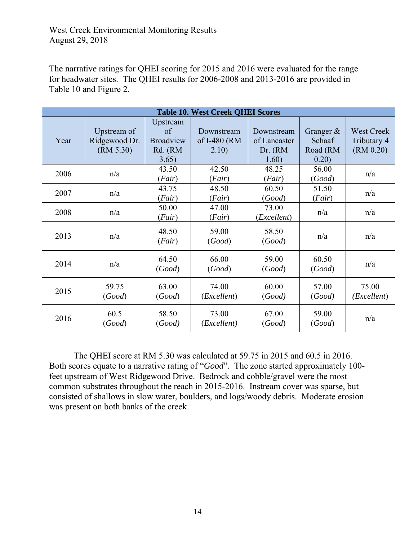The narrative ratings for QHEI scoring for 2015 and 2016 were evaluated for the range for headwater sites. The QHEI results for 2006-2008 and 2013-2016 are provided in Table 10 and Figure 2.

| <b>Table 10. West Creek QHEI Scores</b> |                                           |                                                        |                                     |                                                 |                                             |                                               |
|-----------------------------------------|-------------------------------------------|--------------------------------------------------------|-------------------------------------|-------------------------------------------------|---------------------------------------------|-----------------------------------------------|
| Year                                    | Upstream of<br>Ridgewood Dr.<br>(RM 5.30) | Upstream<br>of<br><b>Broadview</b><br>Rd. (RM<br>3.65) | Downstream<br>of I-480 (RM<br>2.10) | Downstream<br>of Lancaster<br>Dr. (RM)<br>1.60) | Granger $\&$<br>Schaaf<br>Road (RM<br>0.20) | <b>West Creek</b><br>Tributary 4<br>(RM 0.20) |
| 2006                                    | n/a                                       | 43.50<br>(Fair)                                        | 42.50<br>(Fair)                     | 48.25<br>(Fair)                                 | 56.00<br>(Good)                             | n/a                                           |
| 2007                                    | n/a                                       | 43.75<br>(Fair)                                        | 48.50<br>(Fair)                     | 60.50<br>(Good)                                 | 51.50<br>(Fair)                             | n/a                                           |
| 2008                                    | n/a                                       | 50.00<br>(Fair)                                        | 47.00<br>(Fair)                     | 73.00<br>(Excellent)                            | n/a                                         | n/a                                           |
| 2013                                    | n/a                                       | 48.50<br>(Fair)                                        | 59.00<br>(Good)                     | 58.50<br>(Good)                                 | n/a                                         | n/a                                           |
| 2014                                    | n/a                                       | 64.50<br>(Good)                                        | 66.00<br>(Good)                     | 59.00<br>(Good)                                 | 60.50<br>(Good)                             | n/a                                           |
| 2015                                    | 59.75<br>(Good)                           | 63.00<br>(Good)                                        | 74.00<br>( <i>Excellent</i> )       | 60.00<br>(Good)                                 | 57.00<br>(Good)                             | 75.00<br>( <i>Excellent</i> )                 |
| 2016                                    | 60.5<br>(Good)                            | 58.50<br>(Good)                                        | 73.00<br>( <i>Excellent</i> )       | 67.00<br>(Good)                                 | 59.00<br>(Good)                             | n/a                                           |

The QHEI score at RM 5.30 was calculated at 59.75 in 2015 and 60.5 in 2016. Both scores equate to a narrative rating of "*Good*". The zone started approximately 100 feet upstream of West Ridgewood Drive. Bedrock and cobble/gravel were the most common substrates throughout the reach in 2015-2016. Instream cover was sparse, but consisted of shallows in slow water, boulders, and logs/woody debris. Moderate erosion was present on both banks of the creek.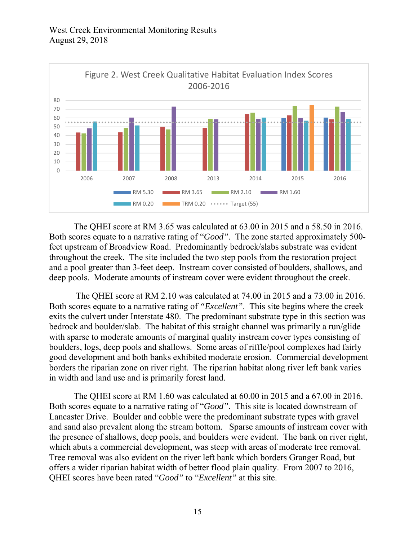

The QHEI score at RM 3.65 was calculated at 63.00 in 2015 and a 58.50 in 2016. Both scores equate to a narrative rating of "*Good"*. The zone started approximately 500 feet upstream of Broadview Road. Predominantly bedrock/slabs substrate was evident throughout the creek. The site included the two step pools from the restoration project and a pool greater than 3-feet deep. Instream cover consisted of boulders, shallows, and deep pools. Moderate amounts of instream cover were evident throughout the creek.

 The QHEI score at RM 2.10 was calculated at 74.00 in 2015 and a 73.00 in 2016. Both scores equate to a narrative rating of *"Excellent"*. This site begins where the creek exits the culvert under Interstate 480. The predominant substrate type in this section was bedrock and boulder/slab. The habitat of this straight channel was primarily a run/glide with sparse to moderate amounts of marginal quality instream cover types consisting of boulders, logs, deep pools and shallows. Some areas of riffle/pool complexes had fairly good development and both banks exhibited moderate erosion. Commercial development borders the riparian zone on river right. The riparian habitat along river left bank varies in width and land use and is primarily forest land.

The QHEI score at RM 1.60 was calculated at 60.00 in 2015 and a 67.00 in 2016. Both scores equate to a narrative rating of "*Good"*. This site is located downstream of Lancaster Drive. Boulder and cobble were the predominant substrate types with gravel and sand also prevalent along the stream bottom. Sparse amounts of instream cover with the presence of shallows, deep pools, and boulders were evident. The bank on river right, which abuts a commercial development, was steep with areas of moderate tree removal. Tree removal was also evident on the river left bank which borders Granger Road, but offers a wider riparian habitat width of better flood plain quality. From 2007 to 2016, QHEI scores have been rated "*Good"* to "*Excellent"* at this site.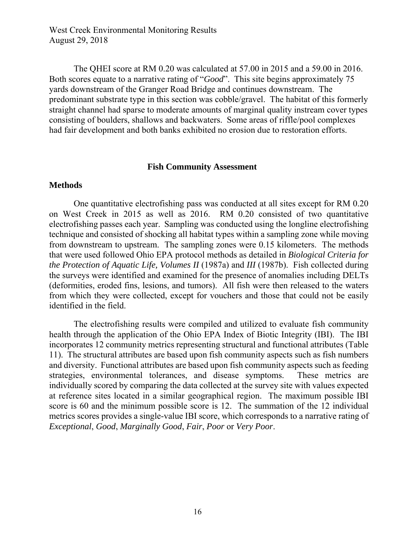The QHEI score at RM 0.20 was calculated at 57.00 in 2015 and a 59.00 in 2016. Both scores equate to a narrative rating of "*Good*". This site begins approximately 75 yards downstream of the Granger Road Bridge and continues downstream. The predominant substrate type in this section was cobble/gravel. The habitat of this formerly straight channel had sparse to moderate amounts of marginal quality instream cover types consisting of boulders, shallows and backwaters. Some areas of riffle/pool complexes had fair development and both banks exhibited no erosion due to restoration efforts.

#### **Fish Community Assessment**

#### **Methods**

One quantitative electrofishing pass was conducted at all sites except for RM 0.20 on West Creek in 2015 as well as 2016. RM 0.20 consisted of two quantitative electrofishing passes each year. Sampling was conducted using the longline electrofishing technique and consisted of shocking all habitat types within a sampling zone while moving from downstream to upstream. The sampling zones were 0.15 kilometers. The methods that were used followed Ohio EPA protocol methods as detailed in *Biological Criteria for the Protection of Aquatic Life, Volumes II* (1987a) and *III* (1987b). Fish collected during the surveys were identified and examined for the presence of anomalies including DELTs (deformities, eroded fins, lesions, and tumors). All fish were then released to the waters from which they were collected, except for vouchers and those that could not be easily identified in the field.

The electrofishing results were compiled and utilized to evaluate fish community health through the application of the Ohio EPA Index of Biotic Integrity (IBI). The IBI incorporates 12 community metrics representing structural and functional attributes (Table 11). The structural attributes are based upon fish community aspects such as fish numbers and diversity. Functional attributes are based upon fish community aspects such as feeding strategies, environmental tolerances, and disease symptoms. These metrics are individually scored by comparing the data collected at the survey site with values expected at reference sites located in a similar geographical region. The maximum possible IBI score is 60 and the minimum possible score is 12. The summation of the 12 individual metrics scores provides a single-value IBI score, which corresponds to a narrative rating of *Exceptional*, *Good*, *Marginally Good*, *Fair*, *Poor* or *Very Poor*.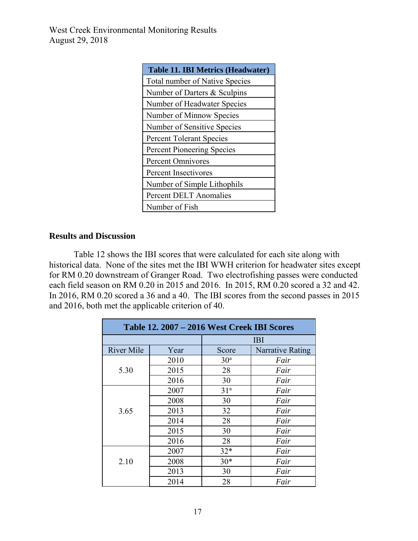| <b>Table 11. IBI Metrics (Headwater)</b> |  |  |  |  |  |  |
|------------------------------------------|--|--|--|--|--|--|
| <b>Total number of Native Species</b>    |  |  |  |  |  |  |
| Number of Darters & Sculpins             |  |  |  |  |  |  |
| Number of Headwater Species              |  |  |  |  |  |  |
| Number of Minnow Species                 |  |  |  |  |  |  |
| Number of Sensitive Species              |  |  |  |  |  |  |
| <b>Percent Tolerant Species</b>          |  |  |  |  |  |  |
| Percent Pioneering Species               |  |  |  |  |  |  |
| <b>Percent Omnivores</b>                 |  |  |  |  |  |  |
| Percent Insectivores                     |  |  |  |  |  |  |
| Number of Simple Lithophils              |  |  |  |  |  |  |
| <b>Percent DELT Anomalies</b>            |  |  |  |  |  |  |
| Number of Fish                           |  |  |  |  |  |  |

#### **Results and Discussion**

Table 12 shows the IBI scores that were calculated for each site along with historical data. None of the sites met the IBI WWH criterion for headwater sites except for RM 0.20 downstream of Granger Road. Two electrofishing passes were conducted each field season on RM 0.20 in 2015 and 2016. In 2015, RM 0.20 scored a 32 and 42. In 2016, RM 0.20 scored a 36 and a 40. The IBI scores from the second passes in 2015 and 2016, both met the applicable criterion of 40.

| Table 12. 2007 – 2016 West Creek IBI Scores |      |                 |                  |  |  |  |
|---------------------------------------------|------|-----------------|------------------|--|--|--|
|                                             |      | <b>IBI</b>      |                  |  |  |  |
| <b>River Mile</b>                           | Year | Score           | Narrative Rating |  |  |  |
|                                             | 2010 | 30 <sup>a</sup> | Fair             |  |  |  |
| 5.30                                        | 2015 | 28              | Fair             |  |  |  |
|                                             | 2016 | 30              | Fair             |  |  |  |
|                                             | 2007 | 31 <sup>a</sup> | Fair             |  |  |  |
|                                             | 2008 | 30              | Fair             |  |  |  |
| 3.65                                        | 2013 | 32              | Fair             |  |  |  |
|                                             | 2014 | 28              | Fair             |  |  |  |
|                                             | 2015 | 30              | Fair             |  |  |  |
|                                             | 2016 | 28              | Fair             |  |  |  |
|                                             | 2007 | $32*$           | Fair             |  |  |  |
| 2.10                                        | 2008 | $30*$           | Fair             |  |  |  |
|                                             | 2013 | 30              | Fair             |  |  |  |
|                                             | 2014 | 28              | Fair             |  |  |  |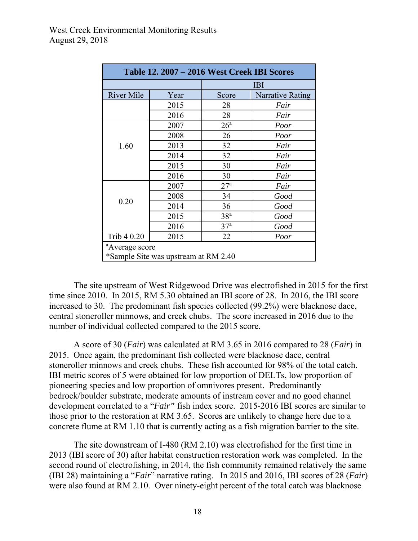|                   |      | <b>IBI</b>      |                  |  |
|-------------------|------|-----------------|------------------|--|
| <b>River Mile</b> | Year | Score           | Narrative Rating |  |
|                   | 2015 | 28              | Fair             |  |
|                   | 2016 | 28              | Fair             |  |
|                   | 2007 | 26 <sup>a</sup> | Poor             |  |
|                   | 2008 | 26              | Poor             |  |
| 1.60              | 2013 | 32              | Fair             |  |
|                   | 2014 | 32              | Fair             |  |
|                   | 2015 | 30              | Fair             |  |
|                   | 2016 | 30              | Fair             |  |
|                   | 2007 | 27 <sup>a</sup> | Fair             |  |
|                   | 2008 | 34              | Good             |  |
| 0.20              | 2014 | 36              | Good             |  |
|                   | 2015 | 38 <sup>a</sup> | Good             |  |
|                   | 2016 | 37 <sup>a</sup> | Good             |  |
| Trib 4 0.20       | 2015 | 22              | Poor             |  |

The site upstream of West Ridgewood Drive was electrofished in 2015 for the first time since 2010. In 2015, RM 5.30 obtained an IBI score of 28. In 2016, the IBI score increased to 30. The predominant fish species collected (99.2%) were blacknose dace, central stoneroller minnows, and creek chubs. The score increased in 2016 due to the number of individual collected compared to the 2015 score.

A score of 30 (*Fair*) was calculated at RM 3.65 in 2016 compared to 28 (*Fair*) in 2015. Once again, the predominant fish collected were blacknose dace, central stoneroller minnows and creek chubs. These fish accounted for 98% of the total catch. IBI metric scores of 5 were obtained for low proportion of DELTs, low proportion of pioneering species and low proportion of omnivores present. Predominantly bedrock/boulder substrate, moderate amounts of instream cover and no good channel development correlated to a "*Fair"* fish index score. 2015-2016 IBI scores are similar to those prior to the restoration at RM 3.65. Scores are unlikely to change here due to a concrete flume at RM 1.10 that is currently acting as a fish migration barrier to the site.

The site downstream of I-480 (RM 2.10) was electrofished for the first time in 2013 (IBI score of 30) after habitat construction restoration work was completed. In the second round of electrofishing, in 2014, the fish community remained relatively the same (IBI 28) maintaining a "*Fair*" narrative rating. In 2015 and 2016, IBI scores of 28 (*Fair*) were also found at RM 2.10. Over ninety-eight percent of the total catch was blacknose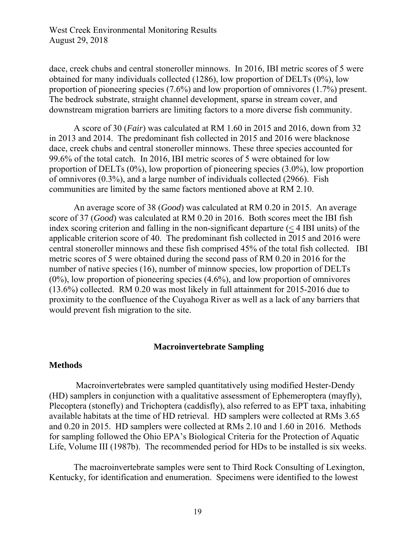dace, creek chubs and central stoneroller minnows. In 2016, IBI metric scores of 5 were obtained for many individuals collected (1286), low proportion of DELTs (0%), low proportion of pioneering species (7.6%) and low proportion of omnivores (1.7%) present. The bedrock substrate, straight channel development, sparse in stream cover, and downstream migration barriers are limiting factors to a more diverse fish community.

A score of 30 (*Fair*) was calculated at RM 1.60 in 2015 and 2016, down from 32 in 2013 and 2014. The predominant fish collected in 2015 and 2016 were blacknose dace, creek chubs and central stoneroller minnows. These three species accounted for 99.6% of the total catch. In 2016, IBI metric scores of 5 were obtained for low proportion of DELTs (0%), low proportion of pioneering species (3.0%), low proportion of omnivores (0.3%), and a large number of individuals collected (2966). Fish communities are limited by the same factors mentioned above at RM 2.10.

An average score of 38 (*Good*) was calculated at RM 0.20 in 2015. An average score of 37 (*Good*) was calculated at RM 0.20 in 2016. Both scores meet the IBI fish index scoring criterion and falling in the non-significant departure  $(< 4$  IBI units) of the applicable criterion score of 40. The predominant fish collected in 2015 and 2016 were central stoneroller minnows and these fish comprised 45% of the total fish collected. IBI metric scores of 5 were obtained during the second pass of RM 0.20 in 2016 for the number of native species (16), number of minnow species, low proportion of DELTs (0%), low proportion of pioneering species (4.6%), and low proportion of omnivores (13.6%) collected. RM 0.20 was most likely in full attainment for 2015-2016 due to proximity to the confluence of the Cuyahoga River as well as a lack of any barriers that would prevent fish migration to the site.

#### **Macroinvertebrate Sampling**

#### **Methods**

 Macroinvertebrates were sampled quantitatively using modified Hester-Dendy (HD) samplers in conjunction with a qualitative assessment of Ephemeroptera (mayfly), Plecoptera (stonefly) and Trichoptera (caddisfly), also referred to as EPT taxa, inhabiting available habitats at the time of HD retrieval. HD samplers were collected at RMs 3.65 and 0.20 in 2015. HD samplers were collected at RMs 2.10 and 1.60 in 2016. Methods for sampling followed the Ohio EPA's Biological Criteria for the Protection of Aquatic Life, Volume III (1987b). The recommended period for HDs to be installed is six weeks.

The macroinvertebrate samples were sent to Third Rock Consulting of Lexington, Kentucky, for identification and enumeration. Specimens were identified to the lowest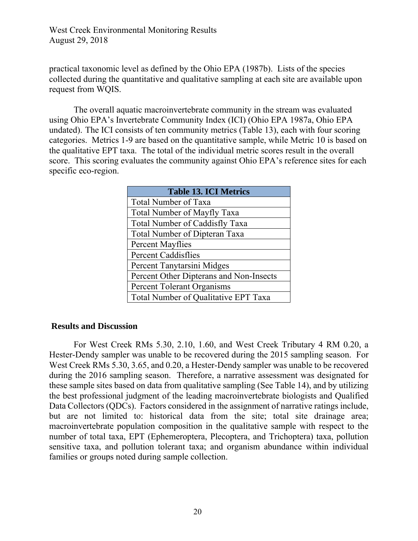practical taxonomic level as defined by the Ohio EPA (1987b). Lists of the species collected during the quantitative and qualitative sampling at each site are available upon request from WQIS.

The overall aquatic macroinvertebrate community in the stream was evaluated using Ohio EPA's Invertebrate Community Index (ICI) (Ohio EPA 1987a, Ohio EPA undated). The ICI consists of ten community metrics (Table 13), each with four scoring categories. Metrics 1-9 are based on the quantitative sample, while Metric 10 is based on the qualitative EPT taxa. The total of the individual metric scores result in the overall score. This scoring evaluates the community against Ohio EPA's reference sites for each specific eco-region.

| <b>Table 13. ICI Metrics</b>            |
|-----------------------------------------|
| <b>Total Number of Taxa</b>             |
| <b>Total Number of Mayfly Taxa</b>      |
| <b>Total Number of Caddisfly Taxa</b>   |
| <b>Total Number of Dipteran Taxa</b>    |
| <b>Percent Mayflies</b>                 |
| <b>Percent Caddisflies</b>              |
| Percent Tanytarsini Midges              |
| Percent Other Dipterans and Non-Insects |
| <b>Percent Tolerant Organisms</b>       |
| Total Number of Qualitative EPT Taxa    |

#### **Results and Discussion**

For West Creek RMs 5.30, 2.10, 1.60, and West Creek Tributary 4 RM 0.20, a Hester-Dendy sampler was unable to be recovered during the 2015 sampling season. For West Creek RMs 5.30, 3.65, and 0.20, a Hester-Dendy sampler was unable to be recovered during the 2016 sampling season. Therefore, a narrative assessment was designated for these sample sites based on data from qualitative sampling (See Table 14), and by utilizing the best professional judgment of the leading macroinvertebrate biologists and Qualified Data Collectors (QDCs). Factors considered in the assignment of narrative ratings include, but are not limited to: historical data from the site; total site drainage area; macroinvertebrate population composition in the qualitative sample with respect to the number of total taxa, EPT (Ephemeroptera, Plecoptera, and Trichoptera) taxa, pollution sensitive taxa, and pollution tolerant taxa; and organism abundance within individual families or groups noted during sample collection.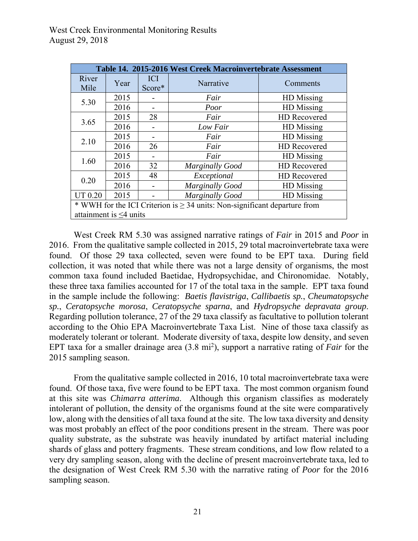| Table 14. 2015-2016 West Creek Macroinvertebrate Assessment                    |      |                      |                        |                     |  |
|--------------------------------------------------------------------------------|------|----------------------|------------------------|---------------------|--|
| River<br>Mile                                                                  | Year | <b>ICI</b><br>Score* | Narrative              | Comments            |  |
| 5.30                                                                           | 2015 |                      | Fair                   | HD Missing          |  |
|                                                                                | 2016 |                      | Poor                   | HD Missing          |  |
| 3.65                                                                           | 2015 | 28                   | Fair                   | <b>HD</b> Recovered |  |
|                                                                                | 2016 |                      | Low Fair               | HD Missing          |  |
| 2.10                                                                           | 2015 |                      | Fair                   | HD Missing          |  |
|                                                                                | 2016 | 26                   | Fair                   | HD Recovered        |  |
| 1.60                                                                           | 2015 |                      | Fair                   | HD Missing          |  |
|                                                                                | 2016 | 32                   | <b>Marginally Good</b> | HD Recovered        |  |
| 0.20                                                                           | 2015 | 48                   | Exceptional            | HD Recovered        |  |
|                                                                                | 2016 |                      | <b>Marginally Good</b> | HD Missing          |  |
| <b>UT 0.20</b>                                                                 | 2015 |                      | <b>Marginally Good</b> | HD Missing          |  |
| * WWH for the ICI Criterion is $\geq$ 34 units: Non-significant departure from |      |                      |                        |                     |  |
| attainment is $\leq$ 4 units                                                   |      |                      |                        |                     |  |

West Creek RM 5.30 was assigned narrative ratings of *Fair* in 2015 and *Poor* in 2016. From the qualitative sample collected in 2015, 29 total macroinvertebrate taxa were found. Of those 29 taxa collected, seven were found to be EPT taxa. During field collection, it was noted that while there was not a large density of organisms, the most common taxa found included Baetidae, Hydropsychidae, and Chironomidae. Notably, these three taxa families accounted for 17 of the total taxa in the sample. EPT taxa found in the sample include the following: *Baetis flavistriga*, *Callibaetis sp.*, *Cheumatopsyche sp.*, *Ceratopsyche morosa*, *Ceratopsyche sparna*, and *Hydropsyche depravata group*. Regarding pollution tolerance, 27 of the 29 taxa classify as facultative to pollution tolerant according to the Ohio EPA Macroinvertebrate Taxa List. Nine of those taxa classify as moderately tolerant or tolerant. Moderate diversity of taxa, despite low density, and seven EPT taxa for a smaller drainage area (3.8 mi<sup>2</sup>), support a narrative rating of *Fair* for the 2015 sampling season.

From the qualitative sample collected in 2016, 10 total macroinvertebrate taxa were found. Of those taxa, five were found to be EPT taxa. The most common organism found at this site was *Chimarra atterima*. Although this organism classifies as moderately intolerant of pollution, the density of the organisms found at the site were comparatively low, along with the densities of all taxa found at the site. The low taxa diversity and density was most probably an effect of the poor conditions present in the stream. There was poor quality substrate, as the substrate was heavily inundated by artifact material including shards of glass and pottery fragments. These stream conditions, and low flow related to a very dry sampling season, along with the decline of present macroinvertebrate taxa, led to the designation of West Creek RM 5.30 with the narrative rating of *Poor* for the 2016 sampling season.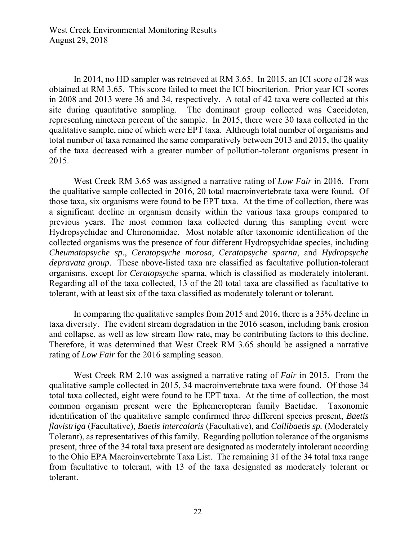In 2014, no HD sampler was retrieved at RM 3.65. In 2015, an ICI score of 28 was obtained at RM 3.65. This score failed to meet the ICI biocriterion. Prior year ICI scores in 2008 and 2013 were 36 and 34, respectively. A total of 42 taxa were collected at this site during quantitative sampling. The dominant group collected was Caecidotea, representing nineteen percent of the sample. In 2015, there were 30 taxa collected in the qualitative sample, nine of which were EPT taxa. Although total number of organisms and total number of taxa remained the same comparatively between 2013 and 2015, the quality of the taxa decreased with a greater number of pollution-tolerant organisms present in 2015.

West Creek RM 3.65 was assigned a narrative rating of *Low Fair* in 2016. From the qualitative sample collected in 2016, 20 total macroinvertebrate taxa were found. Of those taxa, six organisms were found to be EPT taxa. At the time of collection, there was a significant decline in organism density within the various taxa groups compared to previous years. The most common taxa collected during this sampling event were Hydropsychidae and Chironomidae. Most notable after taxonomic identification of the collected organisms was the presence of four different Hydropsychidae species, including *Cheumatopsyche sp.*, *Ceratopsyche morosa*, *Ceratopsyche sparna*, and *Hydropsyche depravata group*. These above-listed taxa are classified as facultative pollution-tolerant organisms, except for *Ceratopsyche* sparna, which is classified as moderately intolerant. Regarding all of the taxa collected, 13 of the 20 total taxa are classified as facultative to tolerant, with at least six of the taxa classified as moderately tolerant or tolerant.

In comparing the qualitative samples from 2015 and 2016, there is a 33% decline in taxa diversity. The evident stream degradation in the 2016 season, including bank erosion and collapse, as well as low stream flow rate, may be contributing factors to this decline. Therefore, it was determined that West Creek RM 3.65 should be assigned a narrative rating of *Low Fair* for the 2016 sampling season.

West Creek RM 2.10 was assigned a narrative rating of *Fair* in 2015. From the qualitative sample collected in 2015, 34 macroinvertebrate taxa were found. Of those 34 total taxa collected, eight were found to be EPT taxa. At the time of collection, the most common organism present were the Ephemeropteran family Baetidae. Taxonomic identification of the qualitative sample confirmed three different species present, *Baetis flavistriga* (Facultative), *Baetis intercalaris* (Facultative), and *Callibaetis sp.* (Moderately Tolerant), as representatives of this family. Regarding pollution tolerance of the organisms present, three of the 34 total taxa present are designated as moderately intolerant according to the Ohio EPA Macroinvertebrate Taxa List. The remaining 31 of the 34 total taxa range from facultative to tolerant, with 13 of the taxa designated as moderately tolerant or tolerant.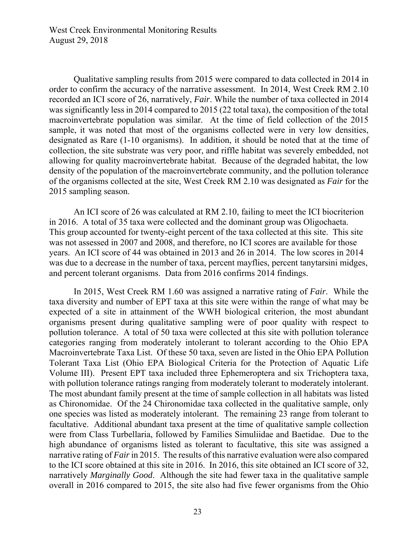Qualitative sampling results from 2015 were compared to data collected in 2014 in order to confirm the accuracy of the narrative assessment. In 2014, West Creek RM 2.10 recorded an ICI score of 26, narratively, *Fair*. While the number of taxa collected in 2014 was significantly less in 2014 compared to 2015 (22 total taxa), the composition of the total macroinvertebrate population was similar. At the time of field collection of the 2015 sample, it was noted that most of the organisms collected were in very low densities, designated as Rare (1-10 organisms). In addition, it should be noted that at the time of collection, the site substrate was very poor, and riffle habitat was severely embedded, not allowing for quality macroinvertebrate habitat. Because of the degraded habitat, the low density of the population of the macroinvertebrate community, and the pollution tolerance of the organisms collected at the site, West Creek RM 2.10 was designated as *Fair* for the 2015 sampling season.

 An ICI score of 26 was calculated at RM 2.10, failing to meet the ICI biocriterion in 2016. A total of 35 taxa were collected and the dominant group was Oligochaeta. This group accounted for twenty-eight percent of the taxa collected at this site. This site was not assessed in 2007 and 2008, and therefore, no ICI scores are available for those years. An ICI score of 44 was obtained in 2013 and 26 in 2014. The low scores in 2014 was due to a decrease in the number of taxa, percent mayflies, percent tanytarsini midges, and percent tolerant organisms. Data from 2016 confirms 2014 findings.

In 2015, West Creek RM 1.60 was assigned a narrative rating of *Fair*. While the taxa diversity and number of EPT taxa at this site were within the range of what may be expected of a site in attainment of the WWH biological criterion, the most abundant organisms present during qualitative sampling were of poor quality with respect to pollution tolerance. A total of 50 taxa were collected at this site with pollution tolerance categories ranging from moderately intolerant to tolerant according to the Ohio EPA Macroinvertebrate Taxa List. Of these 50 taxa, seven are listed in the Ohio EPA Pollution Tolerant Taxa List (Ohio EPA Biological Criteria for the Protection of Aquatic Life Volume III). Present EPT taxa included three Ephemeroptera and six Trichoptera taxa, with pollution tolerance ratings ranging from moderately tolerant to moderately intolerant. The most abundant family present at the time of sample collection in all habitats was listed as Chironomidae. Of the 24 Chironomidae taxa collected in the qualitative sample, only one species was listed as moderately intolerant. The remaining 23 range from tolerant to facultative. Additional abundant taxa present at the time of qualitative sample collection were from Class Turbellaria, followed by Families Simuliidae and Baetidae. Due to the high abundance of organisms listed as tolerant to facultative, this site was assigned a narrative rating of *Fair* in 2015. The results of this narrative evaluation were also compared to the ICI score obtained at this site in 2016. In 2016, this site obtained an ICI score of 32, narratively *Marginally Good*. Although the site had fewer taxa in the qualitative sample overall in 2016 compared to 2015, the site also had five fewer organisms from the Ohio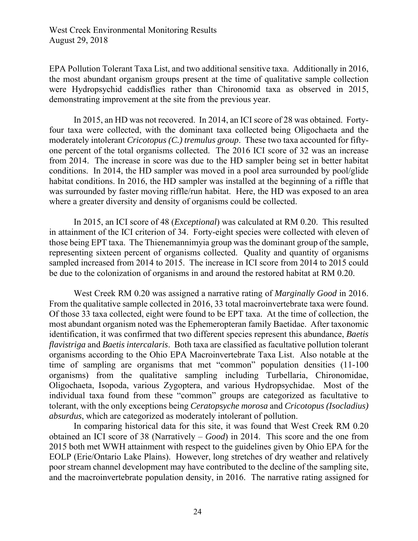EPA Pollution Tolerant Taxa List, and two additional sensitive taxa. Additionally in 2016, the most abundant organism groups present at the time of qualitative sample collection were Hydropsychid caddisflies rather than Chironomid taxa as observed in 2015, demonstrating improvement at the site from the previous year.

 In 2015, an HD was not recovered. In 2014, an ICI score of 28 was obtained. Fortyfour taxa were collected, with the dominant taxa collected being Oligochaeta and the moderately intolerant *Cricotopus (C.) tremulus group*. These two taxa accounted for fiftyone percent of the total organisms collected. The 2016 ICI score of 32 was an increase from 2014. The increase in score was due to the HD sampler being set in better habitat conditions. In 2014, the HD sampler was moved in a pool area surrounded by pool/glide habitat conditions. In 2016, the HD sampler was installed at the beginning of a riffle that was surrounded by faster moving riffle/run habitat. Here, the HD was exposed to an area where a greater diversity and density of organisms could be collected.

In 2015, an ICI score of 48 (*Exceptional*) was calculated at RM 0.20. This resulted in attainment of the ICI criterion of 34. Forty-eight species were collected with eleven of those being EPT taxa. The Thienemannimyia group was the dominant group of the sample, representing sixteen percent of organisms collected. Quality and quantity of organisms sampled increased from 2014 to 2015. The increase in ICI score from 2014 to 2015 could be due to the colonization of organisms in and around the restored habitat at RM 0.20.

West Creek RM 0.20 was assigned a narrative rating of *Marginally Good* in 2016. From the qualitative sample collected in 2016, 33 total macroinvertebrate taxa were found. Of those 33 taxa collected, eight were found to be EPT taxa. At the time of collection, the most abundant organism noted was the Ephemeropteran family Baetidae. After taxonomic identification, it was confirmed that two different species represent this abundance, *Baetis flavistriga* and *Baetis intercalaris*. Both taxa are classified as facultative pollution tolerant organisms according to the Ohio EPA Macroinvertebrate Taxa List. Also notable at the time of sampling are organisms that met "common" population densities (11-100 organisms) from the qualitative sampling including Turbellaria, Chironomidae, Oligochaeta, Isopoda, various Zygoptera, and various Hydropsychidae. Most of the individual taxa found from these "common" groups are categorized as facultative to tolerant, with the only exceptions being *Ceratopsyche morosa* and *Cricotopus (Isocladius) absurdus*, which are categorized as moderately intolerant of pollution.

In comparing historical data for this site, it was found that West Creek RM 0.20 obtained an ICI score of 38 (Narratively – *Good*) in 2014. This score and the one from 2015 both met WWH attainment with respect to the guidelines given by Ohio EPA for the EOLP (Erie/Ontario Lake Plains). However, long stretches of dry weather and relatively poor stream channel development may have contributed to the decline of the sampling site, and the macroinvertebrate population density, in 2016. The narrative rating assigned for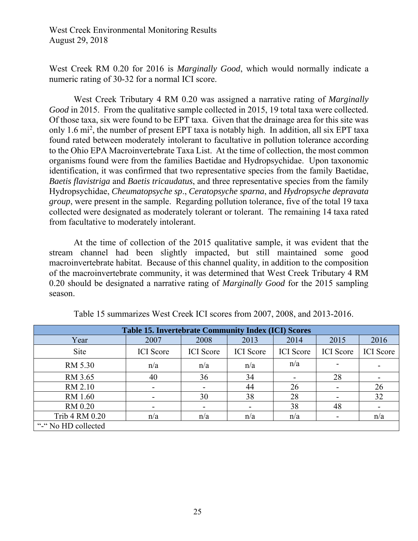West Creek RM 0.20 for 2016 is *Marginally Good*, which would normally indicate a numeric rating of 30-32 for a normal ICI score.

West Creek Tributary 4 RM 0.20 was assigned a narrative rating of *Marginally Good* in 2015. From the qualitative sample collected in 2015, 19 total taxa were collected. Of those taxa, six were found to be EPT taxa. Given that the drainage area for this site was only 1.6 mi<sup>2</sup>, the number of present EPT taxa is notably high. In addition, all six EPT taxa found rated between moderately intolerant to facultative in pollution tolerance according to the Ohio EPA Macroinvertebrate Taxa List. At the time of collection, the most common organisms found were from the families Baetidae and Hydropsychidae. Upon taxonomic identification, it was confirmed that two representative species from the family Baetidae, *Baetis flavistriga* and *Baetis tricaudatus*, and three representative species from the family Hydropsychidae, *Cheumatopsyche sp*., *Ceratopsyche sparna*, and *Hydropsyche depravata group*, were present in the sample. Regarding pollution tolerance, five of the total 19 taxa collected were designated as moderately tolerant or tolerant. The remaining 14 taxa rated from facultative to moderately intolerant.

At the time of collection of the 2015 qualitative sample, it was evident that the stream channel had been slightly impacted, but still maintained some good macroinvertebrate habitat. Because of this channel quality, in addition to the composition of the macroinvertebrate community, it was determined that West Creek Tributary 4 RM 0.20 should be designated a narrative rating of *Marginally Good* for the 2015 sampling season.

| <b>Table 15. Invertebrate Community Index (ICI) Scores</b> |                          |                  |                  |                  |                          |                  |
|------------------------------------------------------------|--------------------------|------------------|------------------|------------------|--------------------------|------------------|
| Year                                                       | 2007                     | 2008             | 2013             | 2014             | 2015                     | 2016             |
| <b>Site</b>                                                | <b>ICI</b> Score         | <b>ICI</b> Score | <b>ICI</b> Score | <b>ICI</b> Score | <b>ICI</b> Score         | <b>ICI</b> Score |
| RM 5.30                                                    | n/a                      | n/a              | n/a              | n/a              |                          |                  |
| RM 3.65                                                    | 40                       | 36               | 34               |                  | 28                       |                  |
| RM 2.10                                                    | ۰                        |                  | 44               | 26               |                          | 26               |
| RM 1.60                                                    | $\overline{\phantom{a}}$ | 30               | 38               | 28               | $\blacksquare$           | 32               |
| RM 0.20                                                    |                          |                  |                  | 38               | 48                       |                  |
| Trib 4 RM 0.20                                             | n/a                      | n/a              | n/a              | n/a              | $\overline{\phantom{a}}$ | n/a              |
| "-" No HD collected                                        |                          |                  |                  |                  |                          |                  |

Table 15 summarizes West Creek ICI scores from 2007, 2008, and 2013-2016.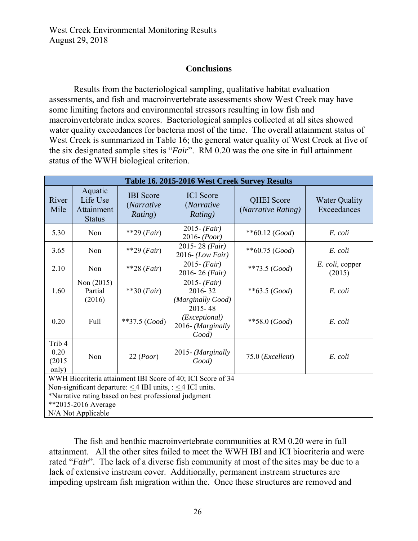### **Conclusions**

Results from the bacteriological sampling, qualitative habitat evaluation assessments, and fish and macroinvertebrate assessments show West Creek may have some limiting factors and environmental stressors resulting in low fish and macroinvertebrate index scores. Bacteriological samples collected at all sites showed water quality exceedances for bacteria most of the time. The overall attainment status of West Creek is summarized in Table 16; the general water quality of West Creek at five of the six designated sample sites is "*Fair*". RM 0.20 was the one site in full attainment status of the WWH biological criterion.

| Table 16. 2015-2016 West Creek Survey Results                        |                                                    |                                           |                                                            |                                         |                                     |  |
|----------------------------------------------------------------------|----------------------------------------------------|-------------------------------------------|------------------------------------------------------------|-----------------------------------------|-------------------------------------|--|
| River<br>Mile                                                        | Aquatic<br>Life Use<br>Attainment<br><b>Status</b> | <b>IBI</b> Score<br>(Narrative<br>Rating) | <b>ICI</b> Score<br><i>(Narrative)</i><br>Rating)          | <b>QHEI</b> Score<br>(Narrative Rating) | <b>Water Quality</b><br>Exceedances |  |
| 5.30                                                                 | Non                                                | **29 $(Fair)$                             | $2015 - (Fair)$<br>$2016 - (Poor)$                         | $**60.12 (Good)$                        | E. coli                             |  |
| 3.65                                                                 | Non                                                | $*$ 29 (Fair)                             | 2015-28 (Fair)<br>$2016$ - (Low Fair)                      | $**60.75$ (Good)                        | E. coli                             |  |
| 2.10                                                                 | Non                                                | $*$ 28 ( <i>Fair</i> )                    | $2015 - (Fair)$<br>2016-26 (Fair)                          | $**73.5$ (Good)                         | E. coli, copper<br>(2015)           |  |
| 1.60                                                                 | Non (2015)<br>Partial<br>(2016)                    | $**30 (Fair)$                             | $2015 - (Fair)$<br>2016-32<br>(Marginally Good)            | $**63.5$ (Good)                         | E. coli                             |  |
| 0.20                                                                 | Full                                               | $**37.5$ (Good)                           | $2015 - 48$<br>(Exceptional)<br>2016- (Marginally<br>Good) | $**58.0$ (Good)                         | E. coli                             |  |
| Trib <sub>4</sub><br>0.20<br>(2015)<br>only)                         | Non                                                | 22 (Poor)                                 | 2015- (Marginally<br>Good)                                 | 75.0 ( <i>Excellent</i> )               | E. coli                             |  |
| WWH Biocriteria attainment IBI Score of 40; ICI Score of 34          |                                                    |                                           |                                                            |                                         |                                     |  |
| Non-significant departure: $\leq$ 4 IBI units, : $\leq$ 4 ICI units. |                                                    |                                           |                                                            |                                         |                                     |  |
| *Narrative rating based on best professional judgment                |                                                    |                                           |                                                            |                                         |                                     |  |
| **2015-2016 Average                                                  |                                                    |                                           |                                                            |                                         |                                     |  |
| N/A Not Applicable                                                   |                                                    |                                           |                                                            |                                         |                                     |  |

The fish and benthic macroinvertebrate communities at RM 0.20 were in full attainment. All the other sites failed to meet the WWH IBI and ICI biocriteria and were rated "*Fair*". The lack of a diverse fish community at most of the sites may be due to a lack of extensive instream cover. Additionally, permanent instream structures are impeding upstream fish migration within the. Once these structures are removed and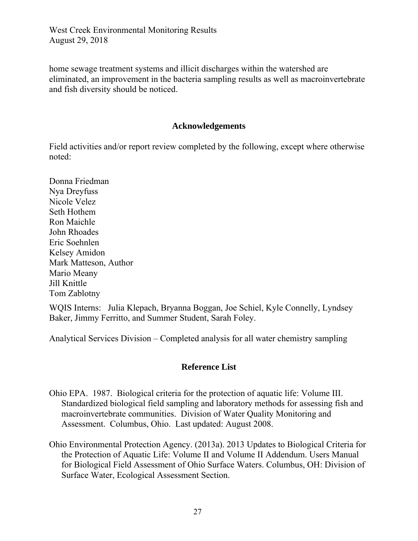home sewage treatment systems and illicit discharges within the watershed are eliminated, an improvement in the bacteria sampling results as well as macroinvertebrate and fish diversity should be noticed.

#### **Acknowledgements**

Field activities and/or report review completed by the following, except where otherwise noted:

Donna Friedman Nya Dreyfuss Nicole Velez Seth Hothem Ron Maichle John Rhoades Eric Soehnlen Kelsey Amidon Mark Matteson, Author Mario Meany Jill Knittle Tom Zablotny

WQIS Interns: Julia Klepach, Bryanna Boggan, Joe Schiel, Kyle Connelly, Lyndsey Baker, Jimmy Ferritto, and Summer Student, Sarah Foley.

Analytical Services Division – Completed analysis for all water chemistry sampling

#### **Reference List**

- Ohio EPA. 1987. Biological criteria for the protection of aquatic life: Volume III. Standardized biological field sampling and laboratory methods for assessing fish and macroinvertebrate communities. Division of Water Quality Monitoring and Assessment. Columbus, Ohio. Last updated: August 2008.
- Ohio Environmental Protection Agency. (2013a). 2013 Updates to Biological Criteria for the Protection of Aquatic Life: Volume II and Volume II Addendum. Users Manual for Biological Field Assessment of Ohio Surface Waters. Columbus, OH: Division of Surface Water, Ecological Assessment Section.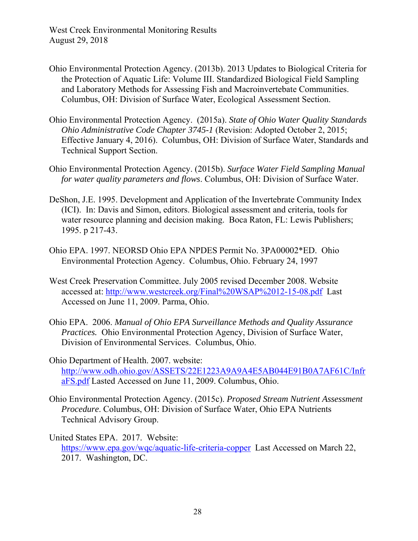- Ohio Environmental Protection Agency. (2013b). 2013 Updates to Biological Criteria for the Protection of Aquatic Life: Volume III. Standardized Biological Field Sampling and Laboratory Methods for Assessing Fish and Macroinvertebate Communities. Columbus, OH: Division of Surface Water, Ecological Assessment Section.
- Ohio Environmental Protection Agency. (2015a). *State of Ohio Water Quality Standards Ohio Administrative Code Chapter 3745-1* (Revision: Adopted October 2, 2015; Effective January 4, 2016). Columbus, OH: Division of Surface Water, Standards and Technical Support Section.
- Ohio Environmental Protection Agency. (2015b). *Surface Water Field Sampling Manual for water quality parameters and flows*. Columbus, OH: Division of Surface Water.
- DeShon, J.E. 1995. Development and Application of the Invertebrate Community Index (ICI). In: Davis and Simon, editors. Biological assessment and criteria, tools for water resource planning and decision making. Boca Raton, FL: Lewis Publishers; 1995. p 217-43.
- Ohio EPA. 1997. NEORSD Ohio EPA NPDES Permit No. 3PA00002\*ED. Ohio Environmental Protection Agency. Columbus, Ohio. February 24, 1997
- West Creek Preservation Committee. July 2005 revised December 2008. Website accessed at: http://www.westcreek.org/Final%20WSAP%2012-15-08.pdf Last Accessed on June 11, 2009. Parma, Ohio.
- Ohio EPA. 2006. *Manual of Ohio EPA Surveillance Methods and Quality Assurance Practices.* Ohio Environmental Protection Agency, Division of Surface Water, Division of Environmental Services. Columbus, Ohio.
- Ohio Department of Health. 2007. website: http://www.odh.ohio.gov/ASSETS/22E1223A9A9A4E5AB044E91B0A7AF61C/Infr aFS.pdf Lasted Accessed on June 11, 2009. Columbus, Ohio.
- Ohio Environmental Protection Agency. (2015c). *Proposed Stream Nutrient Assessment Procedure*. Columbus, OH: Division of Surface Water, Ohio EPA Nutrients Technical Advisory Group.
- United States EPA. 2017. Website: https://www.epa.gov/wqc/aquatic-life-criteria-copper Last Accessed on March 22, 2017. Washington, DC.